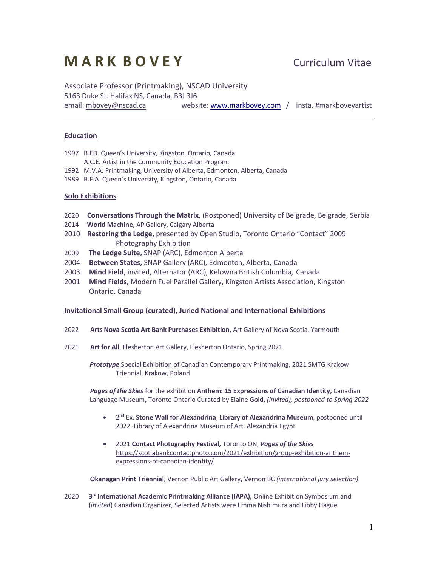# **M A R K B O V E Y** Curriculum Vitae

Associate Professor (Printmaking), NSCAD University 5163 Duke St. Halifax NS, Canada, B3J 3J6 email: mbovey@nscad.ca website: www.markbovey.com / insta. #markboveyartist

# **Education**

- 1997 B.ED. Queen's University, Kingston, Ontario, Canada
- A.C.E. Artist in the Community Education Program
- 1992 M.V.A. Printmaking, University of Alberta, Edmonton, Alberta, Canada
- 1989 B.F.A. Queen's University, Kingston, Ontario, Canada

# **Solo Exhibitions**

- 2020 **Conversations Through the Matrix**, (Postponed) University of Belgrade, Belgrade, Serbia
- 2014 **World Machine,** AP Gallery, Calgary Alberta
- 2010 **Restoring the Ledge,** presented by Open Studio, Toronto Ontario "Contact" 2009 Photography Exhibition
- 2009 **The Ledge Suite,** SNAP (ARC), Edmonton Alberta
- 2004 **Between States,** SNAP Gallery (ARC), Edmonton, Alberta, Canada
- 2003 **Mind Field**, invited, Alternator (ARC), Kelowna British Columbia, Canada
- 2001 **Mind Fields,** Modern Fuel Parallel Gallery, Kingston Artists Association, Kingston Ontario, Canada

### **Invitational Small Group (curated), Juried National and International Exhibitions**

- 2022 **Arts Nova Scotia Art Bank Purchases Exhibition,** Art Gallery of Nova Scotia, Yarmouth
- 2021 **Art for All**, Flesherton Art Gallery, Flesherton Ontario, Spring 2021

*Prototype* Special Exhibition of Canadian Contemporary Printmaking, 2021 SMTG Krakow Triennial, Krakow, Poland

*Pages of the Skies* for the exhibition **Anthem: 15 Expressions of Canadian Identity,** Canadian Language Museum**,** Toronto Ontario Curated by Elaine Gold**,** *(invited), postponed to Spring 2022*

- 2nd Ex. **Stone Wall for Alexandrina**, **Library of Alexandrina Museum**, postponed until 2022, Library of Alexandrina Museum of Art, Alexandria Egypt
- 2021 **Contact Photography Festival,** Toronto ON, *Pages of the Skies* https://scotiabankcontactphoto.com/2021/exhibition/group-exhibition-anthemexpressions-of-canadian-identity/

 **Okanagan Print Triennial**, Vernon Public Art Gallery, Vernon BC *(international jury selection)*

2020 **3<sup>rd</sup> International Academic Printmaking Alliance (IAPA),** Online Exhibition Symposium and (*invited*) Canadian Organizer, Selected Artists were Emma Nishimura and Libby Hague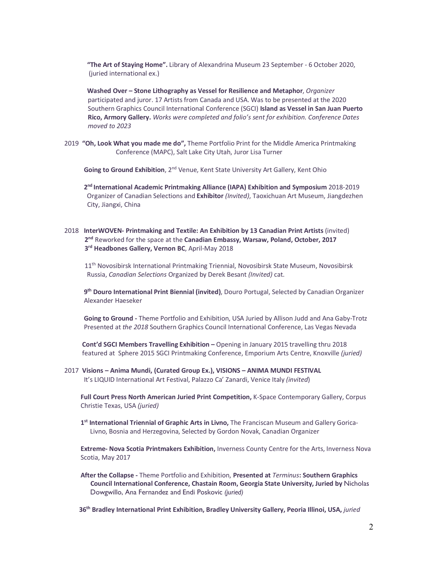**"The Art of Staying Home".** Library of Alexandrina Museum 23 September - 6 October 2020, (juried international ex.)

 **Washed Over – Stone Lithography as Vessel for Resilience and Metaphor**, *Organizer* participated and juror. 17 Artists from Canada and USA. Was to be presented at the 2020 Southern Graphics Council International Conference (SGCI) **Island as Vessel in San Juan Puerto Rico, Armory Gallery.** *Works were completed and folio's sent for exhibition. Conference Dates*  *moved to 2023*

2019 **"Oh, Look What you made me do",** Theme Portfolio Print for the Middle America Printmaking Conference (MAPC), Salt Lake City Utah, Juror Lisa Turner

**Going to Ground Exhibition**, 2<sup>nd</sup> Venue, Kent State University Art Gallery, Kent Ohio

 **2nd International Academic Printmaking Alliance (IAPA) Exhibition and Symposium** 2018-2019 Organizer of Canadian Selections and **Exhibitor** *(Invited)*, Taoxichuan Art Museum, Jiangdezhen City, Jiangxi, China

# 2018 **InterWOVEN- Printmaking and Textile: An Exhibition by 13 Canadian Print Artists** (invited) **2nd** Reworked for the space at the **Canadian Embassy, Warsaw, Poland, October, 2017 3rd Headbones Gallery, Vernon BC**, April-May 2018

11<sup>th</sup> Novosibirsk International Printmaking Triennial, Novosibirsk State Museum, Novosibirsk Russia, *Canadian Selections* Organized by Derek Besant *(Invited)* cat.

 **9th Douro International Print Biennial (invited)**, Douro Portugal, Selected by Canadian Organizer Alexander Haeseker

 **Going to Ground -** Theme Portfolio and Exhibition, USA Juried by Allison Judd and Ana Gaby-Trotz Presented at *the 2018* Southern Graphics Council International Conference, Las Vegas Nevada

**Cont'd SGCI Members Travelling Exhibition –** Opening in January 2015 travelling thru 2018 featured at Sphere 2015 SGCI Printmaking Conference, Emporium Arts Centre, Knoxville *(juried)*

2017 **Visions – Anima Mundi, (Curated Group Ex.), VISIONS – ANIMA MUNDI FESTIVAL** It's LIQUID International Art Festival, Palazzo Ca' Zanardi, Venice Italy *(invited*)

 **Full Court Press North American Juried Print Competition,** K-Space Contemporary Gallery, Corpus Christie Texas, USA *(juried)*

 **1st International Triennial of Graphic Arts in Livno,** The Franciscan Museum and Gallery Gorica-Livno, Bosnia and Herzegovina, Selected by Gordon Novak, Canadian Organizer

 **Extreme- Nova Scotia Printmakers Exhibition,** Inverness County Centre for the Arts, Inverness Nova Scotia, May 2017

 **After the Collapse -** Theme Portfolio and Exhibition, **Presented at** *Terminus***: Southern Graphics Council International Conference, Chastain Room, Georgia State University, Juried by** Nicholas Dowgwillo, Ana Fernandez and Endi Poskovic *(juried)*

 **36th Bradley International Print Exhibition, Bradley University Gallery, Peoria Illinoi, USA,** *juried*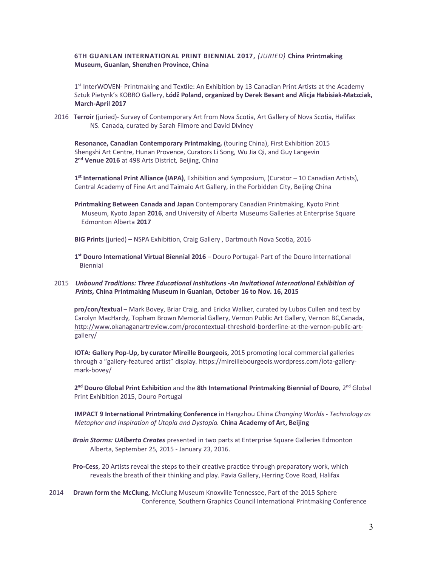# **6TH GUANLAN INTERNATIONAL PRINT BIENNIAL 2017,** *(JURIED)* **China Printmaking Museum, Guanlan, Shenzhen Province, China**

1<sup>st</sup> InterWOVEN- Printmaking and Textile: An Exhibition by 13 Canadian Print Artists at the Academy Sztuk Pietynk's KOBRO Gallery, **Łódž Poland, organized by Derek Besant and Alicja Habisiak-Matzciak, March-April 2017**

2016 **Terroir** (juried)- Survey of Contemporary Art from Nova Scotia, Art Gallery of Nova Scotia, Halifax NS. Canada, curated by Sarah Filmore and David Diviney

**Resonance, Canadian Contemporary Printmaking,** (touring China), First Exhibition 2015 Shengshi Art Centre, Hunan Provence, Curators Li Song, Wu Jia Qi, and Guy Langevin **2nd Venue 2016** at 498 Arts District, Beijing, China

**1st International Print Alliance (IAPA)**, Exhibition and Symposium, (Curator – 10 Canadian Artists), Central Academy of Fine Art and Taimaio Art Gallery, in the Forbidden City, Beijing China

**Printmaking Between Canada and Japan** Contemporary Canadian Printmaking, Kyoto Print Museum, Kyoto Japan **2016**, and University of Alberta Museums Galleries at Enterprise Square Edmonton Alberta **2017**

**BIG Prints** (juried) – NSPA Exhibition, Craig Gallery , Dartmouth Nova Scotia, 2016

**1st Douro International Virtual Biennial 2016** – Douro Portugal- Part of the Douro International Biennial

# 2015*Unbound Traditions: Three Educational Institutions -An Invitational International Exhibition of*  *Prints,* **China Printmaking Museum in Guanlan, October 16 to Nov. 16, 2015**

 **pro/con/textual** – Mark Bovey, Briar Craig, and Ericka Walker, curated by Lubos Cullen and text by Carolyn MacHardy, Topham Brown Memorial Gallery, Vernon Public Art Gallery, Vernon BC,Canada, http://www.okanaganartreview.com/procontextual-threshold-borderline-at-the-vernon-public-artgallery/

 **IOTA: Gallery Pop-Up, by curator Mireille Bourgeois,** 2015 promoting local commercial galleries through a "gallery-featured artist" display. https://mireillebourgeois.wordpress.com/iota-gallery mark-bovey/

 **2nd Douro Global Print Exhibition** and the **8th International Printmaking Biennial of Douro**, 2nd Global Print Exhibition 2015, Douro Portugal

**IMPACT 9 International Printmaking Conference** in Hangzhou China *Changing Worlds - Technology as Metaphor and Inspiration of Utopia and Dystopia.* **China Academy of Art, Beijing**

 *Brain Storms: UAlberta Creates* presented in two parts at Enterprise Square Galleries Edmonton Alberta, September 25, 2015 - January 23, 2016.

 **Pro-Cess**, 20 Artists reveal the steps to their creative practice through preparatory work, which reveals the breath of their thinking and play. Pavia Gallery, Herring Cove Road, Halifax

2014 **Drawn form the McClung,** McClung Museum Knoxville Tennessee, Part of the 2015 Sphere Conference, Southern Graphics Council International Printmaking Conference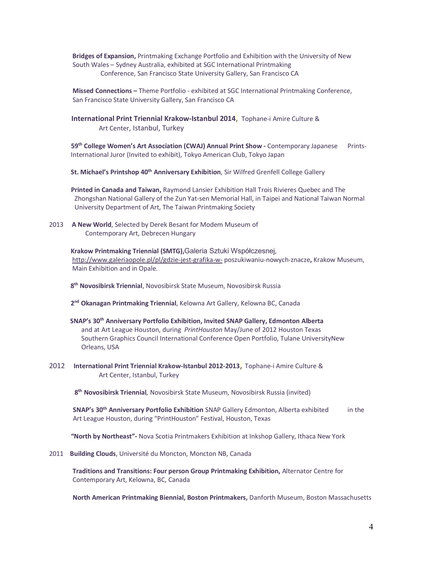**Bridges of Expansion,** Printmaking Exchange Portfolio and Exhibition with the University of New South Wales – Sydney Australia, exhibited at SGC International Printmaking Conference, San Francisco State University Gallery, San Francisco CA

 **Missed Connections –** Theme Portfolio - exhibited at SGC International Printmaking Conference, San Francisco State University Gallery, San Francisco CA

 **International Print Triennial Krakow-Istanbul 2014**, Tophane-i Amire Culture & Art Center, Istanbul, Turkey

 **59th College Women's Art Association (CWAJ) Annual Print Show -** Contemporary Japanese Prints- International Juror (Invited to exhibit), Tokyo American Club, Tokyo Japan

 **St. Michael's Printshop 40th Anniversary Exhibition**, Sir Wilfred Grenfell College Gallery

 **Printed in Canada and Taiwan,** Raymond Lansier Exhibition Hall Trois Rivieres Quebec and The Zhongshan National Gallery of the Zun Yat-sen Memorial Hall, in Taipei and National Taiwan Normal University Department of Art, The Taiwan Printmaking Society

2013 **A New World**, Selected by Derek Besant for Modem Museum of Contemporary Art, Debrecen Hungary

> **Krakow Printmaking Triennial (SMTG),**Galeria Sztuki Współczesnej, http://www.galeriaopole.pl/pl/gdzie-jest-grafika-w- poszukiwaniu-nowych-znacze**,** Krakow Museum, Main Exhibition and in Opale.

 **8th Novosibirsk Triennial**, Novosibirsk State Museum, Novosibirsk Russia

 **2nd Okanagan Printmaking Triennial**, Kelowna Art Gallery, Kelowna BC, Canada

- **SNAP's 30th Anniversary Portfolio Exhibition, Invited SNAP Gallery, Edmonton Alberta**  and at Art League Houston, during *PrintHouston* May/June of 2012 Houston Texas Southern Graphics Council International Conference Open Portfolio, Tulane UniversityNew Orleans, USA
- 2012 **International Print Triennial Krakow-Istanbul 2012-2013**, Tophane-i Amire Culture & Art Center, Istanbul, Turkey

**8th Novosibirsk Triennial**, Novosibirsk State Museum, Novosibirsk Russia (invited)

 **SNAP's 30th Anniversary Portfolio Exhibition** SNAP Gallery Edmonton, Alberta exhibited in the Art League Houston, during "PrintHouston" Festival, Houston, Texas

 **"North by Northeast"-** Nova Scotia Printmakers Exhibition at Inkshop Gallery, Ithaca New York

2011 **Building Clouds**, Université du Moncton, Moncton NB, Canada

 **Traditions and Transitions: Four person Group Printmaking Exhibition,** Alternator Centre for Contemporary Art, Kelowna, BC, Canada

 **North American Printmaking Biennial, Boston Printmakers,** Danforth Museum, Boston Massachusetts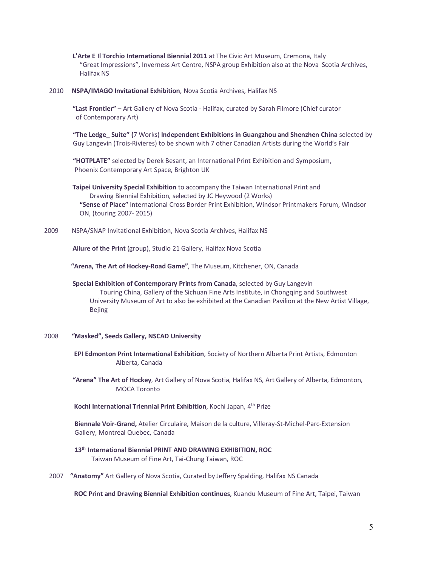**L'Arte E Il Torchio International Biennial 2011** at The Civic Art Museum, Cremona, Italy "Great Impressions", Inverness Art Centre, NSPA group Exhibition also at the Nova Scotia Archives, Halifax NS

#### 2010 **NSPA/IMAGO Invitational Exhibition**, Nova Scotia Archives, Halifax NS

 **"Last Frontier"** – Art Gallery of Nova Scotia - Halifax, curated by Sarah Filmore (Chief curator of Contemporary Art)

**"The Ledge\_ Suite" (**7 Works) **Independent Exhibitions in Guangzhou and Shenzhen China** selected by Guy Langevin (Trois-Rivieres) to be shown with 7 other Canadian Artists during the World's Fair

**"HOTPLATE"** selected by Derek Besant, an International Print Exhibition and Symposium, Phoenix Contemporary Art Space, Brighton UK

 **Taipei University Special Exhibition** to accompany the Taiwan International Print and Drawing Biennial Exhibition, selected by JC Heywood (2 Works) **"Sense of Place"** International Cross Border Print Exhibition, Windsor Printmakers Forum, Windsor ON, (touring 2007- 2015)

2009 NSPA/SNAP Invitational Exhibition, Nova Scotia Archives, Halifax NS

 **Allure of the Print** (group), Studio 21 Gallery, Halifax Nova Scotia

 **"Arena, The Art of Hockey-Road Game"**, The Museum, Kitchener, ON, Canada

 **Special Exhibition of Contemporary Prints from Canada**, selected by Guy Langevin Touring China, Gallery of the Sichuan Fine Arts Institute, in Chongqing and Southwest University Museum of Art to also be exhibited at the Canadian Pavilion at the New Artist Village, Bejing

#### 2008 **"Masked", Seeds Gallery, NSCAD University**

 **EPI Edmonton Print International Exhibition**, Society of Northern Alberta Print Artists, Edmonton Alberta, Canada

 **"Arena" The Art of Hockey**, Art Gallery of Nova Scotia, Halifax NS, Art Gallery of Alberta, Edmonton, MOCA Toronto

 **Kochi International Triennial Print Exhibition**, Kochi Japan, 4th Prize

**Biennale Voir-Grand,** Atelier Circulaire, Maison de la culture, Villeray-St-Michel-Parc-Extension Gallery, Montreal Quebec, Canada

- **13th International Biennial PRINT AND DRAWING EXHIBITION, ROC**  Taiwan Museum of Fine Art, Tai-Chung Taiwan, ROC
- 2007 **"Anatomy"** Art Gallery of Nova Scotia, Curated by Jeffery Spalding, Halifax NS Canada

 **ROC Print and Drawing Biennial Exhibition continues**, Kuandu Museum of Fine Art, Taipei, Taiwan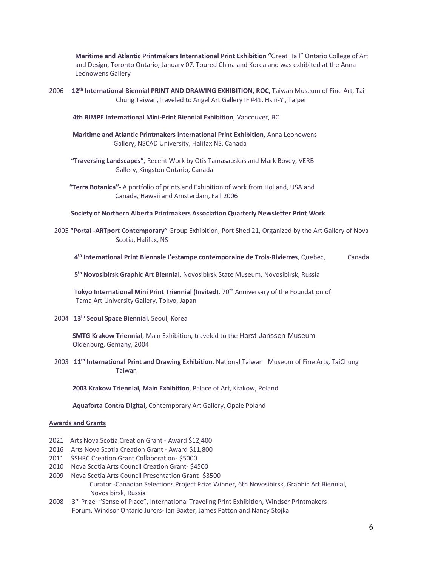**Maritime and Atlantic Printmakers International Print Exhibition "**Great Hall" Ontario College of Art and Design, Toronto Ontario, January 07. Toured China and Korea and was exhibited at the Anna Leonowens Gallery

2006 **12th International Biennial PRINT AND DRAWING EXHIBITION, ROC,** Taiwan Museum of Fine Art, Tai-Chung Taiwan,Traveled to Angel Art Gallery IF #41, Hsin-Yi, Taipei

**4th BIMPE International Mini-Print Biennial Exhibition**, Vancouver, BC

- **Maritime and Atlantic Printmakers International Print Exhibition**, Anna Leonowens Gallery, NSCAD University, Halifax NS, Canada
- **"Traversing Landscapes"**, Recent Work by Otis Tamasauskas and Mark Bovey, VERB Gallery, Kingston Ontario, Canada
- **"Terra Botanica"-** A portfolio of prints and Exhibition of work from Holland, USA and Canada, Hawaii and Amsterdam, Fall 2006

 **Society of Northern Alberta Printmakers Association Quarterly Newsletter Print Work**

2005 **"Portal -ARTport Contemporary"** Group Exhibition, Port Shed 21, Organized by the Art Gallery of Nova Scotia, Halifax, NS

```
 4th International Print Biennale I'estampe contemporaine de Trois-Rivierres, Quebec, Canada
```
 **5th Novosibirsk Graphic Art Biennial**, Novosibirsk State Museum, Novosibirsk, Russia

Tokyo International Mini Print Triennial (Invited), 70<sup>th</sup> Anniversary of the Foundation of Tama Art University Gallery, Tokyo, Japan

2004 **13th Seoul Space Biennial**, Seoul, Korea

 **SMTG Krakow Triennial**, Main Exhibition, traveled to the Horst-Janssen-Museum Oldenburg, Gemany, 2004

2003 **11th International Print and Drawing Exhibition**, National Taiwan Museum of Fine Arts, TaiChung Taiwan

 **2003 Krakow Triennial, Main Exhibition**, Palace of Art, Krakow, Poland

**Aquaforta Contra Digital**, Contemporary Art Gallery, Opale Poland

#### **Awards and Grants**

- 2021Arts Nova Scotia Creation Grant Award \$12,400
- 2016 Arts Nova Scotia Creation Grant Award \$11,800
- 2011 SSHRC Creation Grant Collaboration- \$5000
- 2010 Nova Scotia Arts Council Creation Grant- \$4500
- 2009 Nova Scotia Arts Council Presentation Grant- \$3500

 Curator -Canadian Selections Project Prize Winner, 6th Novosibirsk, Graphic Art Biennial, Novosibirsk, Russia

2008 3<sup>rd</sup> Prize- "Sense of Place", International Traveling Print Exhibition, Windsor Printmakers Forum, Windsor Ontario Jurors- Ian Baxter, James Patton and Nancy Stojka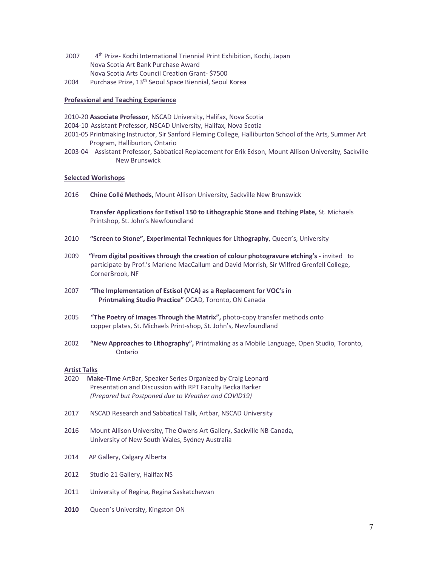- 2007 4<sup>th</sup> Prize- Kochi International Triennial Print Exhibition, Kochi, Japan Nova Scotia Art Bank Purchase Award Nova Scotia Arts Council Creation Grant- \$7500
- 2004 Purchase Prize, 13<sup>th</sup> Seoul Space Biennial, Seoul Korea

# **Professional and Teaching Experience**

- 2010-20 **Associate Professor**, NSCAD University, Halifax, Nova Scotia
- 2004-10 Assistant Professor, NSCAD University, Halifax, Nova Scotia
- 2001-05 Printmaking Instructor, Sir Sanford Fleming College, Halliburton School of the Arts, Summer Art Program, Halliburton, Ontario
- 2003-04 Assistant Professor, Sabbatical Replacement for Erik Edson, Mount Allison University, Sackville New Brunswick

#### **Selected Workshops**

2016 **Chine Collé Methods,** Mount Allison University, Sackville New Brunswick

**Transfer Applications for Estisol 150 to Lithographic Stone and Etching Plate,** St. Michaels Printshop, St. John's Newfoundland

- 2010 **"Screen to Stone", Experimental Techniques for Lithography**, Queen's, University
- 2009 **"From digital positives through the creation of colour photogravure etching's** invited to participate by Prof.'s Marlene MacCallum and David Morrish, Sir Wilfred Grenfell College, CornerBrook, NF
- 2007 **"The Implementation of Estisol (VCA) as a Replacement for VOC's in Printmaking Studio Practice"** OCAD, Toronto, ON Canada
- 2005 **"The Poetry of Images Through the Matrix",** photo-copy transfer methods onto copper plates, St. Michaels Print-shop, St. John's, Newfoundland
- 2002 **"New Approaches to Lithography",** Printmaking as a Mobile Language, Open Studio, Toronto, Ontario

#### **Artist Talks**

- 2020 **Make-Time** ArtBar, Speaker Series Organized by Craig Leonard Presentation and Discussion with RPT Faculty Becka Barker *(Prepared but Postponed due to Weather and COVID19)*
- 2017 NSCAD Research and Sabbatical Talk, Artbar, NSCAD University
- 2016 Mount Allison University, The Owens Art Gallery, Sackville NB Canada, University of New South Wales, Sydney Australia
- 2014AP Gallery, Calgary Alberta
- 2012 Studio 21 Gallery, Halifax NS
- 2011 University of Regina, Regina Saskatchewan
- **2010** Queen's University, Kingston ON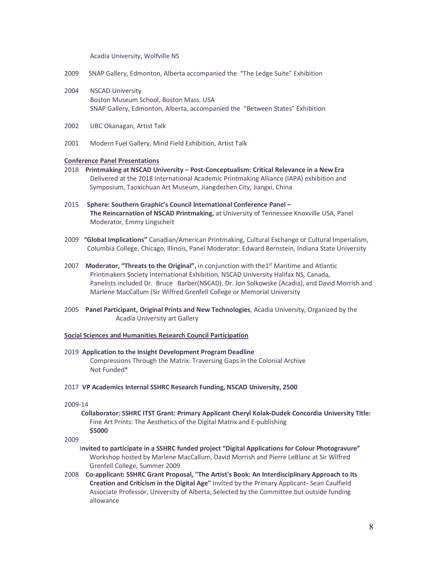Acadia University, Wolfville NS

- 2009 SNAP Gallery, Edmonton, Alberta accompanied the "The Ledge Suite" Exhibition
- 2004 NSCAD University Boston Museum School, Boston Mass. USA SNAP Gallery, Edmonton, Alberta, accompanied the "Between States" Exhibition
- 2002 UBC Okanagan, Artist Talk
- 2001 Modern Fuel Gallery, Mind Field Exhibition, Artist Talk

#### **Conference Panel Presentations**

- 2018 **Printmaking at NSCAD University – Post-Conceptualism: Critical Relevance in a New Era** Delivered at the 2018 International Academic Printmaking Alliance (IAPA) exhibition and Symposium, Taoxichuan Art Museum, Jiangdezhen City, Jiangxi, China
- 2015 **Sphere: Southern Graphic's Council International Conference Panel – The Reincarnation of NSCAD Printmaking,** at University of Tennessee Knoxville USA, Panel Moderator, Emmy Lingscheit
- 2009 **"Global Implications"** Canadian/American Printmaking, Cultural Exchange or Cultural Imperialism, Columbia College, Chicago, Illinois, Panel Moderator: Edward Bernstein, Indiana State University
- 2007 Moderator, "Threats to the Original", in conjunction with the<sup>1st</sup> Maritime and Atlantic Printmakers Society International Exhibition, NSCAD University Halifax NS, Canada, Panelists included Dr. Bruce Barber(NSCAD), Dr. Jon Solkowske (Acadia), and David Morrish and Marlene MacCallum (Sir Wilfred Grenfell College or Memorial University
- 2005 **Panel Participant, Original Prints and New Technologies**, Acadia University, Organized by the Acadia University art Gallery

# **Social Sciences and Humanities Research Council Participation**

- 2019 **Application to the Insight Development Program Deadline**  Compressions Through the Matrix: Traversing Gaps in the Colonial Archive Not Funded\*
- 2017 **VP Academics Internal SSHRC Research Funding, NSCAD University, 2500**

#### 2009-14

 **Collaborator: SSHRC ITST Grant: Primary Applicant Cheryl Kolak-Dudek Concordia University Title:** Fine Art Prints: The Aesthetics of the Digital Matrix and E-publishing **\$5000**

#### 2009

- I**nvited to participate in a SSHRC funded project "Digital Applications for Colour Photogravure"** Workshop hosted by Marlene MacCallum, David Morrish and Pierre LeBlanc at Sir Wilfred Grenfell College, Summer 2009
- 2008 **Co-applicant: SSHRC Grant Proposal, "The Artist's Book: An Interdisciplinary Approach to Its Creation and Criticism in the Digital Age"** Invited by the Primary Applicant- Sean Caulfield Associate Professor, University of Alberta, Selected by the Committee but outside funding allowance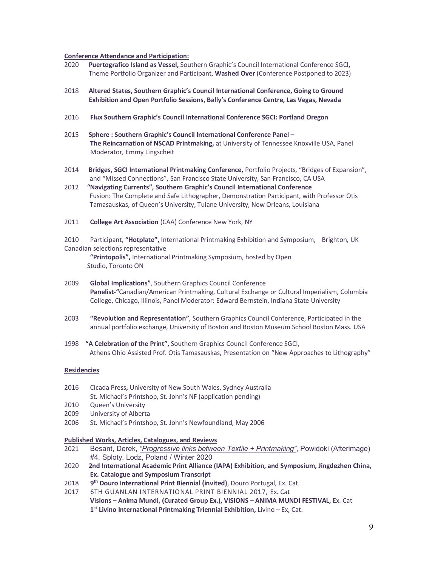#### **Conference Attendance and Participation:**

- 2020 **Puertografico Island as Vessel,** Southern Graphic's Council International Conference SGCI**,**  Theme Portfolio Organizer and Participant, **Washed Over** (Conference Postponed to 2023)
- 2018 **Altered States, Southern Graphic's Council International Conference, Going to Ground Exhibition and Open Portfolio Sessions, Bally's Conference Centre, Las Vegas, Nevada**
- 2016 **Flux Southern Graphic's Council International Conference SGCI: Portland Oregon**
- 2015 **Sphere : Southern Graphic's Council International Conference Panel – The Reincarnation of NSCAD Printmaking,** at University of Tennessee Knoxville USA, Panel Moderator, Emmy Lingscheit
- 2014 **Bridges, SGCI International Printmaking Conference,** Portfolio Projects, "Bridges of Expansion", and "Missed Connections", San Francisco State University, San Francisco, CA USA
- 2012 **"Navigating Currents", Southern Graphic's Council International Conference** Fusion: The Complete and Safe Lithographer, Demonstration Participant, with Professor Otis Tamasauskas, of Queen's University, Tulane University, New Orleans, Louisiana
- 2011 **College Art Association** (CAA) Conference New York, NY

2010 Participant, **"Hotplate",** International Printmaking Exhibition and Symposium, Brighton, UK Canadian selections representative

**"Printopolis",** International Printmaking Symposium, hosted by Open Studio, Toronto ON

- 2009 **Global Implications"**, Southern Graphics Council Conference **Panelist-"**Canadian/American Printmaking, Cultural Exchange or Cultural Imperialism, Columbia College, Chicago, Illinois, Panel Moderator: Edward Bernstein, Indiana State University
- 2003 **"Revolution and Representation"**, Southern Graphics Council Conference, Participated in the annual portfolio exchange, University of Boston and Boston Museum School Boston Mass. USA
- 1998 **"A Celebration of the Print",** Southern Graphics Council Conference SGCI, Athens Ohio Assisted Prof. Otis Tamasauskas, Presentation on "New Approaches to Lithography"

#### **Residencies**

- 2016 Cicada Press**,** University of New South Wales, Sydney Australia St. Michael's Printshop, St. John's NF (application pending)
- 2010 Queen's University
- 2009 University of Alberta
- 2006 St. Michael's Printshop, St. John's Newfoundland, May 2006

#### **Published Works, Articles, Catalogues, and Reviews**

- 2021 Besant, Derek, *"Progressive links between Textile + Printmaking"*, Powidoki (Afterimage) #4, Sploty, Lodz, Poland / Winter 2020
- 2020 **2nd International Academic Print Alliance (IAPA) Exhibition, and Symposium, Jingdezhen China, Ex. Catalogue and Symposium Transcript**
- 2018 **9th Douro International Print Biennial (invited)**, Douro Portugal, Ex. Cat.
- 20176TH GUANLAN INTERNATIONAL PRINT BIENNIAL 2017, Ex. Cat **Visions – Anima Mundi, (Curated Group Ex.), VISIONS – ANIMA MUNDI FESTIVAL,** Ex. Cat **1st Livino International Printmaking Triennial Exhibition,** Livino – Ex, Cat.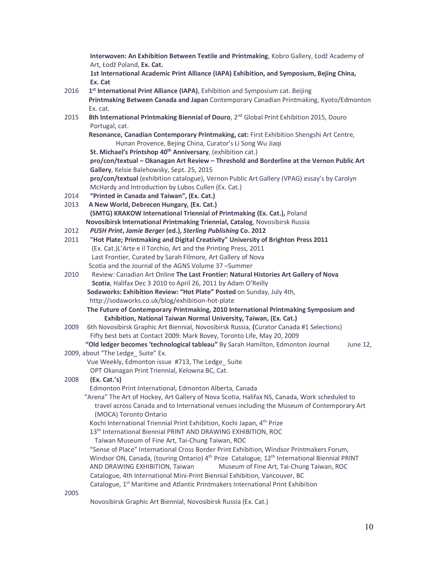**Interwoven: An Exhibition Between Textile and Printmaking**, Kobro Gallery, Łodž Academy of Art, Łodž Poland, **Ex. Cat. 1st International Academic Print Alliance (IAPA) Exhibition, and Symposium, Bejing China, Ex. Cat**  2016 1<sup>st</sup> International Print Alliance (IAPA), Exhibition and Symposium cat. Beijing **Printmaking Between Canada and Japan** Contemporary Canadian Printmaking, Kyoto/Edmonton Ex. cat. 2015 **8th International Printmaking Biennial of Douro**, 2nd Global Print Exhibition 2015, Douro Portugal, cat.  **Resonance, Canadian Contemporary Printmaking, cat:** First Exhibition Shengshi Art Centre, Hunan Provence, Bejing China, Curator's Li Song Wu Jiaqi **St. Michael's Printshop 40<sup>th</sup> Anniversary**, (exhibition cat.) **pro/con/textual – Okanagan Art Review – Threshold and Borderline at the Vernon Public Art Gallery**, Kelsie Balehowsky, Sept. 25, 2015 **pro/con/textual** (exhibition catalogue), Vernon Public Art Gallery (VPAG) essay's by Carolyn McHardy and Introduction by Lubos Cullen (Ex. Cat.) 2014 **"Printed in Canada and Taiwan", (Ex. Cat.)** 2013 **A New World, Debrecen Hungary, (Ex. Cat.) (SMTG) KRAKOW International Triennial of Printmaking (Ex. Cat.),** Poland **Novosibirsk International Printmaking Triennial, Catalog**, Novosibirsk Russia 2012 *PUSH Print***,** *Jamie Berger* **(ed.),** *Sterling Publishing* **Co. 2012** 2011 **"Hot Plate; Printmaking and Digital Creativity" University of Brighton Press 2011** (Ex. Cat.)L'Arte e il Torchio, Art and the Printing Press, 2011 Last Frontier, Curated by Sarah Filmore, Art Gallery of Nova Scotia and the Journal of the AGNS Volume 37 –Summer 2010 Review: Canadian Art Online **The Last Frontier: Natural Histories Art Gallery of Nova Scotia**, Halifax Dec 3 2010 to April 26, 2011 by Adam O'Reilly **Sodaworks: Exhibition Review: "Hot Plate" Posted** on Sunday, July 4th, http://sodaworks.co.uk/blog/exhibition-hot-plate  **The Future of Contemporary Printmaking, 2010 International Printmaking Symposium and Exhibition, National Taiwan Normal University, Taiwan, (Ex. Cat.)** 20096th Novosibirsk Graphic Art Biennial, Novosibirsk Russia, **(**Curator Canada #1 Selections) Fifty best bets at Contact 2009: Mark Bovey, Toronto Life, May 20, 2009 **"Old ledger becomes 'technological tableau"** By Sarah Hamilton, Edmonton Journal June 12, 2009, about "The Ledge Suite" Ex. Vue Weekly, Edmonton issue #713, The Ledge\_ Suite OPT Okanagan Print Triennial, Kelowna BC, Cat. 2008 **(Ex. Cat.'s)** Edmonton Print International, Edmonton Alberta, Canada "Arena" The Art of Hockey, Art Gallery of Nova Scotia, Halifax NS, Canada, Work scheduled to travel across Canada and to International venues including the Museum of Contemporary Art (MOCA) Toronto Ontario Kochi International Triennial Print Exhibition, Kochi Japan, 4<sup>th</sup> Prize 13<sup>th</sup> International Biennial PRINT AND DRAWING EXHIBITION, ROC Taiwan Museum of Fine Art, Tai-Chung Taiwan, ROC "Sense of Place" International Cross Border Print Exhibition, Windsor Printmakers Forum, Windsor ON, Canada, (touring Ontario) 4<sup>th</sup> Prize Catalogue, 12<sup>th</sup> International Biennial PRINT AND DRAWING EXHIBITION, Taiwan Museum of Fine Art, Tai-Chung Taiwan, ROC Catalogue, 4th International Mini-Print Biennial Exhibition, Vancouver, BC Catalogue, 1st Maritime and Atlantic Printmakers International Print Exhibition 2005

Novosibirsk Graphic Art Biennial, Novosibirsk Russia (Ex. Cat.)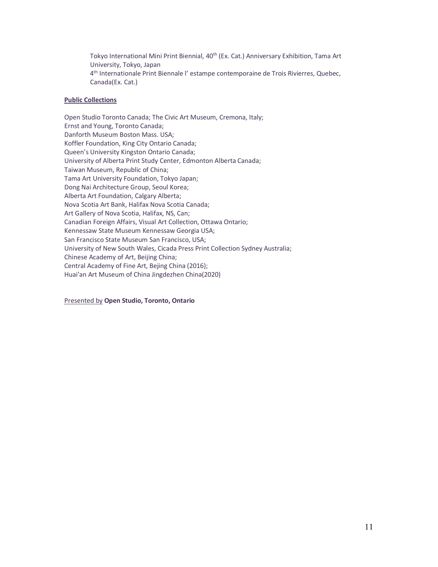Tokyo International Mini Print Biennial, 40<sup>th</sup> (Ex. Cat.) Anniversary Exhibition, Tama Art University, Tokyo, Japan 4th Internationale Print Biennale l' estampe contemporaine de Trois Rivierres, Quebec, Canada(Ex. Cat.)

# **Public Collections**

Open Studio Toronto Canada; The Civic Art Museum, Cremona, Italy; Ernst and Young, Toronto Canada; Danforth Museum Boston Mass. USA; Koffler Foundation, King City Ontario Canada; Queen's University Kingston Ontario Canada; University of Alberta Print Study Center, Edmonton Alberta Canada; Taiwan Museum, Republic of China; Tama Art University Foundation, Tokyo Japan; Dong Nai Architecture Group, Seoul Korea; Alberta Art Foundation, Calgary Alberta; Nova Scotia Art Bank, Halifax Nova Scotia Canada; Art Gallery of Nova Scotia, Halifax, NS, Can; Canadian Foreign Affairs, Visual Art Collection, Ottawa Ontario; Kennessaw State Museum Kennessaw Georgia USA; San Francisco State Museum San Francisco, USA; University of New South Wales, Cicada Press Print Collection Sydney Australia; Chinese Academy of Art, Beijing China; Central Academy of Fine Art, Bejing China (2016); Huai'an Art Museum of China Jingdezhen China(2020)

Presented by **Open Studio, Toronto, Ontario**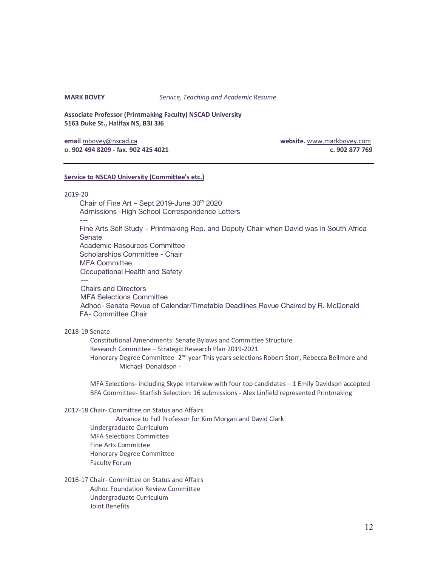**MARK BOVEY** *Service, Teaching and Academic Resume*

**Associate Professor (Printmaking Faculty) NSCAD University 5163 Duke St., Halifax NS, B3J 3J6**

**email** mbovey@nscad.ca **website.** www.markbovey.com **o. 902 494 8209 - fax. 902 425 4021 c. 902 877 769**

### **Service to NSCAD University (Committee's etc.)**

#### 2019-20

Chair of Fine Art – Sept 2019-June  $30<sup>th</sup>$  2020 Admissions -High School Correspondence Letters --- Fine Arts Self Study – Printmaking Rep. and Deputy Chair when David was in South Africa Senate Academic Resources Committee Scholarships Committee - Chair MFA Committee Occupational Health and Safety --- Chairs and Directors MFA Selections Committee Adhoc- Senate Revue of Calendar/Timetable Deadlines Revue Chaired by R. McDonald FA- Committee Chair

# 2018-19 Senate

Constitutional Amendments: Senate Bylaws and Committee Structure Research Committee – Strategic Research Plan 2019-2021 Honorary Degree Committee- 2<sup>nd</sup> year This years selections Robert Storr, Rebecca Bellmore and Michael Donaldson -

MFA Selections- including Skype Interview with four top candidates – 1 Emily Davidson accepted BFA Committee- Starfish Selection: 16 submissions - Alex Linfield represented Printmaking

#### 2017-18 Chair- Committee on Status and Affairs

Advance to Full Professor for Kim Morgan and David Clark Undergraduate Curriculum MFA Selections Committee Fine Arts Committee Honorary Degree Committee Faculty Forum

2016-17 Chair- Committee on Status and Affairs Adhoc Foundation Review Committee Undergraduate Curriculum Joint Benefits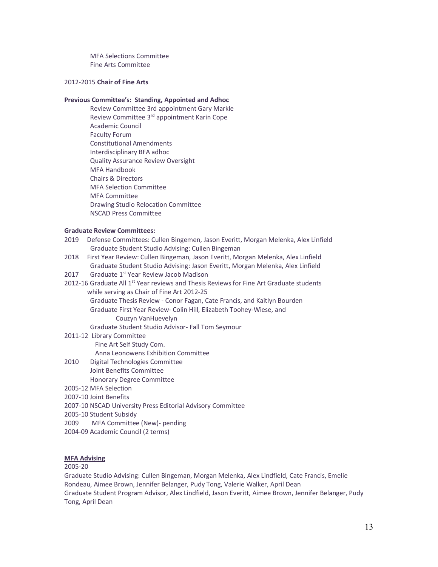MFA Selections Committee Fine Arts Committee

# 2012-2015 **Chair of Fine Arts**

### **Previous Committee's: Standing, Appointed and Adhoc**

Review Committee 3rd appointment Gary Markle Review Committee 3<sup>rd</sup> appointment Karin Cope Academic Council Faculty Forum Constitutional Amendments Interdisciplinary BFA adhoc Quality Assurance Review Oversight MFA Handbook Chairs & Directors MFA Selection Committee MFA Committee Drawing Studio Relocation Committee NSCAD Press Committee

#### **Graduate Review Committees:**

- 2019 Defense Committees: Cullen Bingemen, Jason Everitt, Morgan Melenka, Alex Linfield Graduate Student Studio Advising: Cullen Bingeman
- 2018 First Year Review: Cullen Bingeman, Jason Everitt, Morgan Melenka, Alex Linfield Graduate Student Studio Advising: Jason Everitt, Morgan Melenka, Alex Linfield
- 2017 Graduate 1<sup>st</sup> Year Review Jacob Madison
- 2012-16 Graduate All  $1<sup>st</sup>$  Year reviews and Thesis Reviews for Fine Art Graduate students while serving as Chair of Fine Art 2012-25 Graduate Thesis Review - Conor Fagan, Cate Francis, and Kaitlyn Bourden Graduate First Year Review- Colin Hill, Elizabeth Toohey-Wiese, and

Couzyn VanHuevelyn

- Graduate Student Studio Advisor- Fall Tom Seymour
- 2011-12 Library Committee

Fine Art Self Study Com.

Anna Leonowens Exhibition Committee

- 2010 Digital Technologies Committee Joint Benefits Committee
	- Honorary Degree Committee
- 2005-12 MFA Selection
- 2007-10 Joint Benefits
- 2007-10 NSCAD University Press Editorial Advisory Committee
- 2005-10 Student Subsidy
- 2009 MFA Committee (New)- pending
- 2004-09 Academic Council (2 terms)

# **MFA Advising**

# 2005-20

Graduate Studio Advising: Cullen Bingeman, Morgan Melenka, Alex Lindfield, Cate Francis, Emelie Rondeau, Aimee Brown, Jennifer Belanger, Pudy Tong, Valerie Walker, April Dean Graduate Student Program Advisor, Alex Lindfield, Jason Everitt, Aimee Brown, Jennifer Belanger, Pudy Tong, April Dean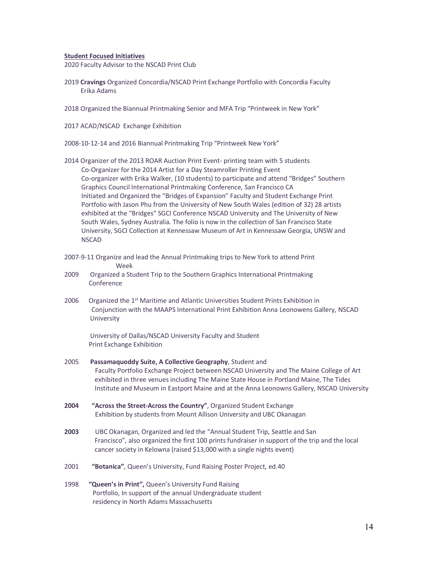#### **Student Focused Initiatives**

2020 Faculty Advisor to the NSCAD Print Club

- 2019 **Cravings** Organized Concordia/NSCAD Print Exchange Portfolio with Concordia Faculty Erika Adams
- 2018 Organized the Biannual Printmaking Senior and MFA Trip "Printweek in New York"
- 2017 ACAD/NSCAD Exchange Exhibition
- 2008-10-12-14 and 2016 Biannual Printmaking Trip "Printweek New York"
- 2014 Organizer of the 2013 ROAR Auction Print Event- printing team with 5 students Co-Organizer for the 2014 Artist for a Day Steamroller Printing Event Co-organizer with Erika Walker, (10 students) to participate and attend "Bridges" Southern Graphics Council International Printmaking Conference, San Francisco CA Initiated and Organized the "Bridges of Expansion" Faculty and Student Exchange Print Portfolio with Jason Phu from the University of New South Wales (edition of 32) 28 artists exhibited at the "Bridges" SGCI Conference NSCAD University and The University of New South Wales, Sydney Australia. The folio is now in the collection of San Francisco State University, SGCI Collection at Kennessaw Museum of Art in Kennessaw Georgia, UNSW and NSCAD
- 2007-9-11 Organize and lead the Annual Printmaking trips to New York to attend Print Week
- 2009 Organized a Student Trip to the Southern Graphics International Printmaking Conference
- 2006 Organized the 1<sup>st</sup> Maritime and Atlantic Universities Student Prints Exhibition in Conjunction with the MAAPS International Print Exhibition Anna Leonowens Gallery, NSCAD University

University of Dallas/NSCAD University Faculty and Student Print Exchange Exhibition

- 2005 **Passamaquoddy Suite, A Collective Geography**, Student and Faculty Portfolio Exchange Project between NSCAD University and The Maine College of Art exhibited in three venues including The Maine State House in Portland Maine, The Tides Institute and Museum in Eastport Maine and at the Anna Leonowns Gallery, NSCAD University
- **2004 "Across the Street-Across the Country"**, Organized Student Exchange Exhibition by students from Mount Allison University and UBC Okanagan
- **2003** UBC Okanagan, Organized and led the "Annual Student Trip, Seattle and San Francisco", also organized the first 100 prints fundraiser in support of the trip and the local cancer society in Kelowna (raised \$13,000 with a single nights event)
- 2001 **"Botanica"**, Queen's University, Fund Raising Poster Project, ed.40
- 1998 **"Queen's in Print",** Queen's University Fund Raising Portfolio, In support of the annual Undergraduate student residency in North Adams Massachusetts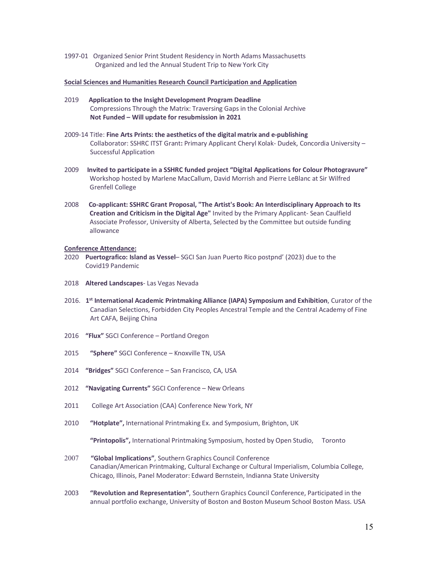1997-01 Organized Senior Print Student Residency in North Adams Massachusetts Organized and led the Annual Student Trip to New York City

#### **Social Sciences and Humanities Research Council Participation and Application**

- 2019 **Application to the Insight Development Program Deadline**  Compressions Through the Matrix: Traversing Gaps in the Colonial Archive **Not Funded – Will update for resubmission in 2021**
- 2009-14 Title: **Fine Arts Prints: the aesthetics of the digital matrix and e-publishing** Collaborator: SSHRC ITST Grant**:** Primary Applicant Cheryl Kolak- Dudek, Concordia University – Successful Application
- 2009 **Invited to participate in a SSHRC funded project "Digital Applications for Colour Photogravure"** Workshop hosted by Marlene MacCallum, David Morrish and Pierre LeBlanc at Sir Wilfred Grenfell College
- 2008 **Co-applicant: SSHRC Grant Proposal, "The Artist's Book: An Interdisciplinary Approach to Its Creation and Criticism in the Digital Age"** Invited by the Primary Applicant- Sean Caulfield Associate Professor, University of Alberta, Selected by the Committee but outside funding allowance

# **Conference Attendance:**

- 2020 **Puertografico: Island as Vessel** SGCI San Juan Puerto Rico postpnd' (2023) due to the Covid19 Pandemic
- 2018 **Altered Landscapes** Las Vegas Nevada
- 2016. **1st International Academic Printmaking Alliance (IAPA) Symposium and Exhibition**, Curator of the Canadian Selections, Forbidden City Peoples Ancestral Temple and the Central Academy of Fine Art CAFA, Beijing China
- 2016 **"Flux"** SGCI Conference Portland Oregon
- 2015 **"Sphere"** SGCI Conference Knoxville TN, USA
- 2014 **"Bridges"** SGCI Conference San Francisco, CA, USA
- 2012 **"Navigating Currents"** SGCI Conference New Orleans
- 2011 College Art Association (CAA) Conference New York, NY
- 2010 **"Hotplate",** International Printmaking Ex. and Symposium, Brighton, UK

**"Printopolis",** International Printmaking Symposium, hosted by Open Studio, Toronto

- 2007 **"Global Implications"**, Southern Graphics Council Conference Canadian/American Printmaking, Cultural Exchange or Cultural Imperialism, Columbia College, Chicago, Illinois, Panel Moderator: Edward Bernstein, Indianna State University
- 2003 **"Revolution and Representation"**, Southern Graphics Council Conference, Participated in the annual portfolio exchange, University of Boston and Boston Museum School Boston Mass. USA